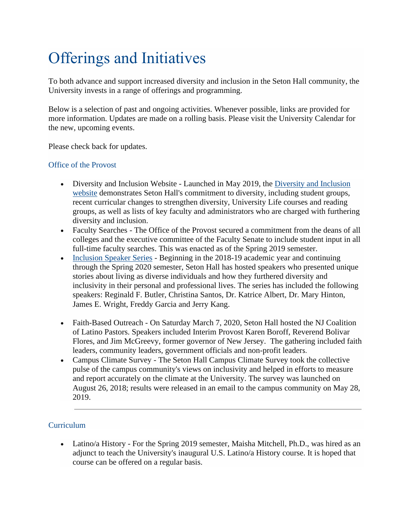# Offerings and Initiatives

To both advance and support increased diversity and inclusion in the Seton Hall community, the University invests in a range of offerings and programming.

Below is a selection of past and ongoing activities. Whenever possible, links are provided for more information. Updates are made on a rolling basis. Please visit the University Calendar for the new, upcoming events.

Please check back for updates.

## Office of the Provost

- [Diversity and Inclusion](https://www.shu.edu/diversity-equity-inclusion/index.cfm) Website Launched in May 2019, the Diversity and Inclusion [website](https://www.shu.edu/diversity-equity-inclusion/index.cfm) demonstrates Seton Hall's commitment to diversity, including student groups, recent curricular changes to strengthen diversity, University Life courses and reading groups, as well as lists of key faculty and administrators who are charged with furthering diversity and inclusion.
- Faculty Searches The Office of the Provost secured a commitment from the deans of all colleges and the executive committee of the Faculty Senate to include student input in all full-time faculty searches. This was enacted as of the Spring 2019 semester.
- [Inclusion Speaker Series](https://www.shu.edu/diversity-equity-inclusion/university-wide-dialogues.cfm) Beginning in the 2018-19 academic year and continuing through the Spring 2020 semester, Seton Hall has hosted speakers who presented unique stories about living as diverse individuals and how they furthered diversity and inclusivity in their personal and professional lives. The series has included the following speakers: Reginald F. Butler, Christina Santos, Dr. Katrice Albert, Dr. Mary Hinton, James E. Wright, Freddy Garcia and Jerry Kang.
- Faith-Based Outreach On Saturday March 7, 2020, Seton Hall hosted the NJ Coalition of Latino Pastors. Speakers included Interim Provost Karen Boroff, Reverend Bolivar Flores, and Jim McGreevy, former governor of New Jersey. The gathering included faith leaders, community leaders, government officials and non-profit leaders.
- Campus Climate Survey The Seton Hall Campus Climate Survey took the collective pulse of the campus community's views on inclusivity and helped in efforts to measure and report accurately on the climate at the University. The survey was launched on August 26, 2018; results were released in an email to the campus community on May 28, 2019.

## **Curriculum**

• Latino/a History - For the Spring 2019 semester, Maisha Mitchell, Ph.D., was hired as an adjunct to teach the University's inaugural U.S. Latino/a History course. It is hoped that course can be offered on a regular basis.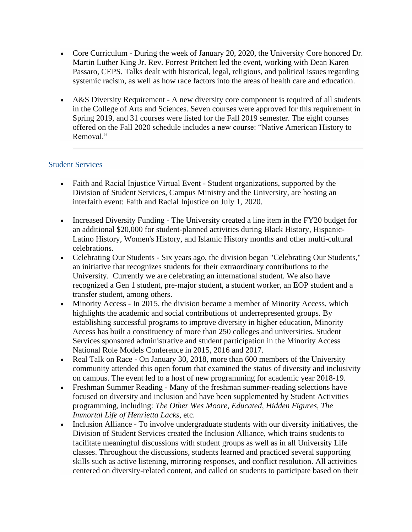- Core Curriculum During the week of January 20, 2020, the University Core honored Dr. Martin Luther King Jr. Rev. Forrest Pritchett led the event, working with Dean Karen Passaro, CEPS. Talks dealt with historical, legal, religious, and political issues regarding systemic racism, as well as how race factors into the areas of health care and education.
- A&S Diversity Requirement A new diversity core component is required of all students in the College of Arts and Sciences. Seven courses were approved for this requirement in Spring 2019, and 31 courses were listed for the Fall 2019 semester. The eight courses offered on the Fall 2020 schedule includes a new course: "Native American History to Removal."

## Student Services

- Faith and Racial Injustice Virtual Event Student organizations, supported by the Division of Student Services, Campus Ministry and the University, are hosting an interfaith event: Faith and Racial Injustice on July 1, 2020.
- Increased Diversity Funding The University created a line item in the FY20 budget for an additional \$20,000 for student-planned activities during Black History, Hispanic-Latino History, Women's History, and Islamic History months and other multi-cultural celebrations.
- Celebrating Our Students Six years ago, the division began "Celebrating Our Students," an initiative that recognizes students for their extraordinary contributions to the University. Currently we are celebrating an international student. We also have recognized a Gen 1 student, pre-major student, a student worker, an EOP student and a transfer student, among others.
- Minority Access In 2015, the division became a member of Minority Access, which highlights the academic and social contributions of underrepresented groups. By establishing successful programs to improve diversity in higher education, Minority Access has built a constituency of more than 250 colleges and universities. Student Services sponsored administrative and student participation in the Minority Access National Role Models Conference in 2015, 2016 and 2017.
- Real Talk on Race On January 30, 2018, more than 600 members of the University community attended this open forum that examined the status of diversity and inclusivity on campus. The event led to a host of new programming for academic year 2018-19.
- Freshman Summer Reading Many of the freshman summer-reading selections have focused on diversity and inclusion and have been supplemented by Student Activities programming, including: *The Other Wes Moore*, *Educated*, *Hidden Figures*, *The Immortal Life of Henrietta Lacks*, etc.
- Inclusion Alliance To involve undergraduate students with our diversity initiatives, the Division of Student Services created the Inclusion Alliance, which trains students to facilitate meaningful discussions with student groups as well as in all University Life classes. Throughout the discussions, students learned and practiced several supporting skills such as active listening, mirroring responses, and conflict resolution. All activities centered on diversity-related content, and called on students to participate based on their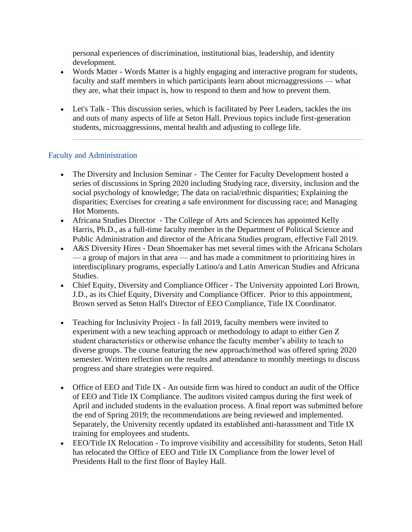personal experiences of discrimination, institutional bias, leadership, and identity development.

- Words Matter Words Matter is a highly engaging and interactive program for students, faculty and staff members in which participants learn about microaggressions — what they are, what their impact is, how to respond to them and how to prevent them.
- Let's Talk This discussion series, which is facilitated by Peer Leaders, tackles the ins and outs of many aspects of life at Seton Hall. Previous topics include first-generation students, microaggressions, mental health and adjusting to college life.

## Faculty and Administration

- The Diversity and Inclusion Seminar The Center for Faculty Development hosted a series of discussions in Spring 2020 including Studying race, diversity, inclusion and the social psychology of knowledge; The data on racial/ethnic disparities; Explaining the disparities; Exercises for creating a safe environment for discussing race; and Managing Hot Moments.
- Africana Studies Director The College of Arts and Sciences has appointed Kelly Harris, Ph.D., as a full-time faculty member in the Department of Political Science and Public Administration and director of the Africana Studies program, effective Fall 2019.
- A&S Diversity Hires Dean Shoemaker has met several times with the Africana Scholars — a group of majors in that area — and has made a commitment to prioritizing hires in interdisciplinary programs, especially Latino/a and Latin American Studies and Africana Studies.
- Chief Equity, Diversity and Compliance Officer The University appointed Lori Brown, J.D., as its Chief Equity, Diversity and Compliance Officer. Prior to this appointment, Brown served as Seton Hall's Director of EEO Compliance, Title IX Coordinator.
- Teaching for Inclusivity Project In fall 2019, faculty members were invited to experiment with a new teaching approach or methodology to adapt to either Gen Z student characteristics or otherwise enhance the faculty member's ability to teach to diverse groups. The course featuring the new approach/method was offered spring 2020 semester. Written reflection on the results and attendance to monthly meetings to discuss progress and share strategies were required.
- Office of EEO and Title IX An outside firm was hired to conduct an audit of the Office of EEO and Title IX Compliance. The auditors visited campus during the first week of April and included students in the evaluation process. A final report was submitted before the end of Spring 2019; the recommendations are being reviewed and implemented. Separately, the University recently updated its established anti-harassment and Title IX training for employees and students.
- EEO/Title IX Relocation To improve visibility and accessibility for students, Seton Hall has relocated the Office of EEO and Title IX Compliance from the lower level of Presidents Hall to the first floor of Bayley Hall.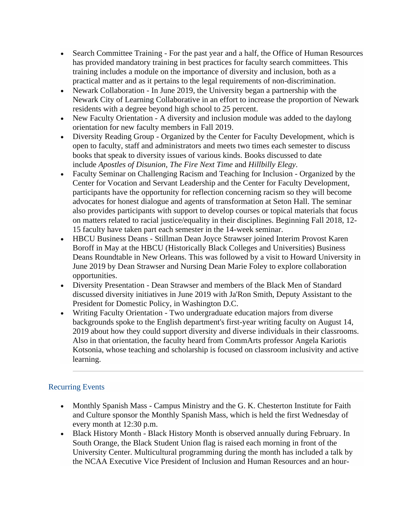- Search Committee Training For the past year and a half, the Office of Human Resources has provided mandatory training in best practices for faculty search committees. This training includes a module on the importance of diversity and inclusion, both as a practical matter and as it pertains to the legal requirements of non-discrimination.
- Newark Collaboration In June 2019, the University began a partnership with the Newark City of Learning Collaborative in an effort to increase the proportion of Newark residents with a degree beyond high school to 25 percent.
- New Faculty Orientation A diversity and inclusion module was added to the daylong orientation for new faculty members in Fall 2019.
- Diversity Reading Group Organized by the Center for Faculty Development, which is open to faculty, staff and administrators and meets two times each semester to discuss books that speak to diversity issues of various kinds. Books discussed to date include *Apostles of Disunion*, *The Fire Next Time* and *Hillbilly Elegy*.
- Faculty Seminar on Challenging Racism and Teaching for Inclusion Organized by the Center for Vocation and Servant Leadership and the Center for Faculty Development, participants have the opportunity for reflection concerning racism so they will become advocates for honest dialogue and agents of transformation at Seton Hall. The seminar also provides participants with support to develop courses or topical materials that focus on matters related to racial justice/equality in their disciplines. Beginning Fall 2018, 12- 15 faculty have taken part each semester in the 14-week seminar.
- HBCU Business Deans Stillman Dean Joyce Strawser joined Interim Provost Karen Boroff in May at the HBCU (Historically Black Colleges and Universities) Business Deans Roundtable in New Orleans. This was followed by a visit to Howard University in June 2019 by Dean Strawser and Nursing Dean Marie Foley to explore collaboration opportunities.
- Diversity Presentation Dean Strawser and members of the Black Men of Standard discussed diversity initiatives in June 2019 with Ja'Ron Smith, Deputy Assistant to the President for Domestic Policy, in Washington D.C.
- Writing Faculty Orientation Two undergraduate education majors from diverse backgrounds spoke to the English department's first-year writing faculty on August 14, 2019 about how they could support diversity and diverse individuals in their classrooms. Also in that orientation, the faculty heard from CommArts professor Angela Kariotis Kotsonia, whose teaching and scholarship is focused on classroom inclusivity and active learning.

# Recurring Events

- Monthly Spanish Mass Campus Ministry and the G. K. Chesterton Institute for Faith and Culture sponsor the Monthly Spanish Mass, which is held the first Wednesday of every month at 12:30 p.m.
- Black History Month Black History Month is observed annually during February. In South Orange, the Black Student Union flag is raised each morning in front of the University Center. Multicultural programming during the month has included a talk by the NCAA Executive Vice President of Inclusion and Human Resources and an hour-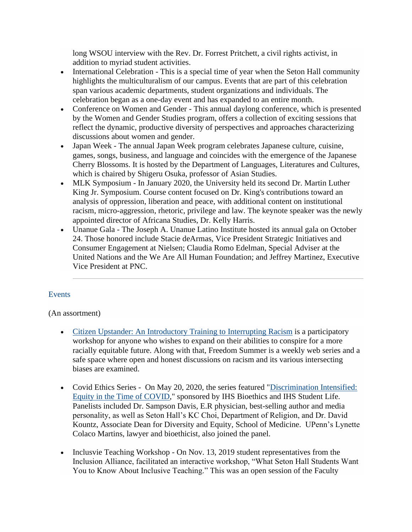long WSOU interview with the Rev. Dr. Forrest Pritchett, a civil rights activist, in addition to myriad student activities.

- International Celebration This is a special time of year when the Seton Hall community highlights the multiculturalism of our campus. Events that are part of this celebration span various academic departments, student organizations and individuals. The celebration began as a one-day event and has expanded to an entire month.
- Conference on Women and Gender This annual daylong conference, which is presented by the Women and Gender Studies program, offers a collection of exciting sessions that reflect the dynamic, productive diversity of perspectives and approaches characterizing discussions about women and gender.
- Japan Week The annual Japan Week program celebrates Japanese culture, cuisine, games, songs, business, and language and coincides with the emergence of the Japanese Cherry Blossoms. It is hosted by the Department of Languages, Literatures and Cultures, which is chaired by Shigeru Osuka, professor of Asian Studies.
- MLK Symposium In January 2020, the University held its second Dr. Martin Luther King Jr. Symposium. Course content focused on Dr. King's contributions toward an analysis of oppression, liberation and peace, with additional content on institutional racism, micro-aggression, rhetoric, privilege and law. The keynote speaker was the newly appointed director of Africana Studies, Dr. Kelly Harris.
- Unanue Gala The Joseph A. Unanue Latino Institute hosted its annual gala on October 24. Those honored include Stacie deArmas, Vice President Strategic Initiatives and Consumer Engagement at Nielsen; Claudia Romo Edelman, Special Adviser at the United Nations and the We Are All Human Foundation; and Jeffrey Martinez, Executive Vice President at PNC.

## Events

#### (An assortment)

- [Citizen Upstander: An Introductory Training to Interrupting](https://www.shu.edu/communication-arts/news/citizen-upstander.cfm) Racism is a participatory workshop for anyone who wishes to expand on their abilities to conspire for a more racially equitable future. Along with that, Freedom Summer is a weekly web series and a safe space where open and honest discussions on racism and its various intersecting biases are examined.
- Covid Ethics Series On May 20, 2020, the series featured ["Discrimination Intensified:](https://www.shu.edu/news/panel-on-discrimination-features-dr-sampson-davis.cfm)  [Equity in the Time of COVID,](https://www.shu.edu/news/panel-on-discrimination-features-dr-sampson-davis.cfm)" sponsored by IHS Bioethics and IHS Student Life. Panelists included Dr. Sampson Davis, E.R physician, best-selling author and media personality, as well as Seton Hall's KC Choi, Department of Religion, and Dr. David Kountz, Associate Dean for Diversity and Equity, School of Medicine. UPenn's Lynette Colaco Martins, lawyer and bioethicist, also joined the panel.
- Inclusvie Teaching Workshop On Nov. 13, 2019 student representatives from the Inclusion Alliance, facilitated an interactive workshop, "What Seton Hall Students Want You to Know About Inclusive Teaching." This was an open session of the Faculty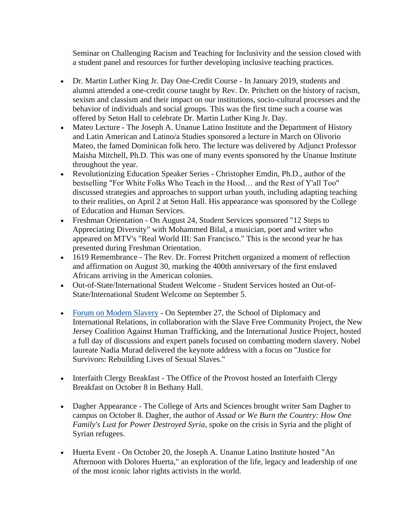Seminar on Challenging Racism and Teaching for Inclusivity and the session closed with a student panel and resources for further developing inclusive teaching practices.

- Dr. Martin Luther King Jr. Day One-Credit Course In January 2019, students and alumni attended a one-credit course taught by Rev. Dr. Pritchett on the history of racism, sexism and classism and their impact on our institutions, socio-cultural processes and the behavior of individuals and social groups. This was the first time such a course was offered by Seton Hall to celebrate Dr. Martin Luther King Jr. Day.
- Mateo Lecture The Joseph A. Unanue Latino Institute and the Department of History and Latin American and Latino/a Studies sponsored a lecture in March on Olivorio Mateo, the famed Dominican folk hero. The lecture was delivered by Adjunct Professor Maisha Mitchell, Ph.D. This was one of many events sponsored by the Unanue Institute throughout the year.
- Revolutionizing Education Speaker Series Christopher Emdin, Ph.D., author of the bestselling "For White Folks Who Teach in the Hood… and the Rest of Y'all Too" discussed strategies and approaches to support urban youth, including adapting teaching to their realities, on April 2 at Seton Hall. His appearance was sponsored by the College of Education and Human Services.
- Freshman Orientation On August 24, Student Services sponsored "12 Steps to Appreciating Diversity" with Mohammed Bilal, a musician, poet and writer who appeared on MTV's "Real World III: San Francisco." This is the second year he has presented during Freshman Orientation.
- 1619 Remembrance The Rev. Dr. Forrest Pritchett organized a moment of reflection and affirmation on August 30, marking the 400th anniversary of the first enslaved Africans arriving in the American colonies.
- Out-of-State/International Student Welcome Student Services hosted an Out-of-State/International Student Welcome on September 5.
- [Forum on Modern](https://www.shu.edu/diplomacy/trafficking-forum.cfm) Slavery On September 27, the School of Diplomacy and International Relations, in collaboration with the Slave Free Community Project, the New Jersey Coalition Against Human Trafficking, and the International Justice Project, hosted a full day of discussions and expert panels focused on combatting modern slavery. Nobel laureate Nadia Murad delivered the keynote address with a focus on "Justice for Survivors: Rebuilding Lives of Sexual Slaves."
- Interfaith Clergy Breakfast The Office of the Provost hosted an Interfaith Clergy Breakfast on October 8 in Bethany Hall.
- Dagher Appearance The College of Arts and Sciences brought writer Sam Dagher to campus on October 8. Dagher, the author of *Assad or We Burn the Country: How One Family's Lust for Power Destroyed Syria*, spoke on the crisis in Syria and the plight of Syrian refugees.
- Huerta Event On October 20, the Joseph A. Unanue Latino Institute hosted "An Afternoon with Dolores Huerta," an exploration of the life, legacy and leadership of one of the most iconic labor rights activists in the world.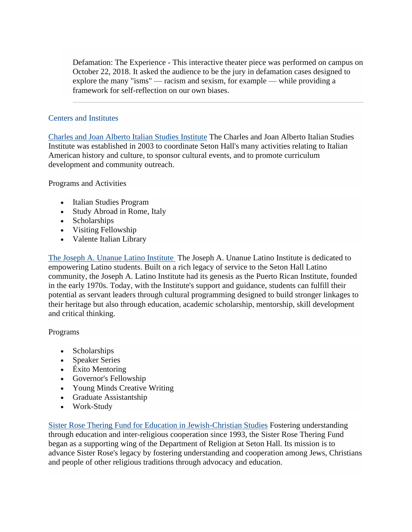Defamation: The Experience - This interactive theater piece was performed on campus on October 22, 2018. It asked the audience to be the jury in defamation cases designed to explore the many "isms" — racism and sexism, for example — while providing a framework for self-reflection on our own biases.

## Centers and Institutes

[Charles and Joan Alberto Italian Studies Institute](https://www.shu.edu/alberto-institute/index.cfm) The Charles and Joan Alberto Italian Studies Institute was established in 2003 to coordinate Seton Hall's many activities relating to Italian American history and culture, to sponsor cultural events, and to promote curriculum development and community outreach.

Programs and Activities

- Italian Studies Program
- Study Abroad in Rome, Italy
- Scholarships
- Visiting Fellowship
- Valente Italian Library

[The Joseph A. Unanue Latino Institute](https://www.shu.edu/latino-institute/index.cfm) The Joseph A. Unanue Latino Institute is dedicated to empowering Latino students. Built on a rich legacy of service to the Seton Hall Latino community, the Joseph A. Latino Institute had its genesis as the Puerto Rican Institute, founded in the early 1970s. Today, with the Institute's support and guidance, students can fulfill their potential as servant leaders through cultural programming designed to build stronger linkages to their heritage but also through education, academic scholarship, mentorship, skill development and critical thinking.

#### Programs

- Scholarships
- Speaker Series
- Éxito Mentoring
- Governor's Fellowship
- Young Minds Creative Writing
- Graduate Assistantship
- Work-Study

[Sister Rose Thering Fund for Education in Jewish-Christian Studies](https://www.shu.edu/sister-rose/index.cfm) Fostering understanding through education and inter-religious cooperation since 1993, the Sister Rose Thering Fund began as a supporting wing of the Department of Religion at Seton Hall. Its mission is to advance Sister Rose's legacy by fostering understanding and cooperation among Jews, Christians and people of other religious traditions through advocacy and education.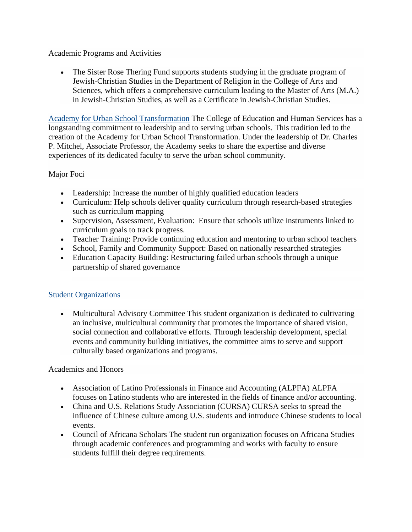#### Academic Programs and Activities

• The Sister Rose Thering Fund supports students studying in the graduate program of Jewish-Christian Studies in the Department of Religion in the College of Arts and Sciences, which offers a comprehensive curriculum leading to the Master of Arts (M.A.) in Jewish-Christian Studies, as well as a Certificate in Jewish-Christian Studies.

[Academy for Urban School Transformation](https://www.shu.edu/urban-school-transformation/index.cfm) The College of Education and Human Services has a longstanding commitment to leadership and to serving urban schools. This tradition led to the creation of the Academy for Urban School Transformation. Under the leadership of Dr. Charles P. Mitchel, Associate Professor, the Academy seeks to share the expertise and diverse experiences of its dedicated faculty to serve the urban school community.

## Major Foci

- Leadership: Increase the number of highly qualified education leaders
- Curriculum: Help schools deliver quality curriculum through research-based strategies such as curriculum mapping
- Supervision, Assessment, Evaluation: Ensure that schools utilize instruments linked to curriculum goals to track progress.
- Teacher Training: Provide continuing education and mentoring to urban school teachers
- School, Family and Community Support: Based on nationally researched strategies
- Education Capacity Building: Restructuring failed urban schools through a unique partnership of shared governance

## Student Organizations

• Multicultural Advisory Committee This student organization is dedicated to cultivating an inclusive, multicultural community that promotes the importance of shared vision, social connection and collaborative efforts. Through leadership development, special events and community building initiatives, the committee aims to serve and support culturally based organizations and programs.

#### Academics and Honors

- Association of Latino Professionals in Finance and Accounting (ALPFA) ALPFA focuses on Latino students who are interested in the fields of finance and/or accounting.
- China and U.S. Relations Study Association (CURSA) CURSA seeks to spread the influence of Chinese culture among U.S. students and introduce Chinese students to local events.
- Council of Africana Scholars The student run organization focuses on Africana Studies through academic conferences and programming and works with faculty to ensure students fulfill their degree requirements.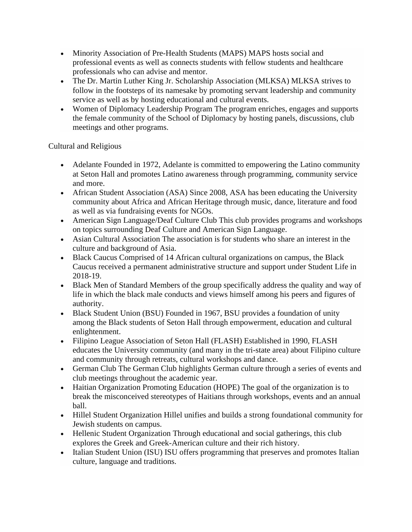- Minority Association of Pre-Health Students (MAPS) MAPS hosts social and professional events as well as connects students with fellow students and healthcare professionals who can advise and mentor.
- The Dr. Martin Luther King Jr. Scholarship Association (MLKSA) MLKSA strives to follow in the footsteps of its namesake by promoting servant leadership and community service as well as by hosting educational and cultural events.
- Women of Diplomacy Leadership Program The program enriches, engages and supports the female community of the School of Diplomacy by hosting panels, discussions, club meetings and other programs.

## Cultural and Religious

- Adelante Founded in 1972, Adelante is committed to empowering the Latino community at Seton Hall and promotes Latino awareness through programming, community service and more.
- African Student Association (ASA) Since 2008, ASA has been educating the University community about Africa and African Heritage through music, dance, literature and food as well as via fundraising events for NGOs.
- American Sign Language/Deaf Culture Club This club provides programs and workshops on topics surrounding Deaf Culture and American Sign Language.
- Asian Cultural Association The association is for students who share an interest in the culture and background of Asia.
- Black Caucus Comprised of 14 African cultural organizations on campus, the Black Caucus received a permanent administrative structure and support under Student Life in 2018-19.
- Black Men of Standard Members of the group specifically address the quality and way of life in which the black male conducts and views himself among his peers and figures of authority.
- Black Student Union (BSU) Founded in 1967, BSU provides a foundation of unity among the Black students of Seton Hall through empowerment, education and cultural enlightenment.
- Filipino League Association of Seton Hall (FLASH) Established in 1990, FLASH educates the University community (and many in the tri-state area) about Filipino culture and community through retreats, cultural workshops and dance.
- German Club The German Club highlights German culture through a series of events and club meetings throughout the academic year.
- Haitian Organization Promoting Education (HOPE) The goal of the organization is to break the misconceived stereotypes of Haitians through workshops, events and an annual ball.
- Hillel Student Organization Hillel unifies and builds a strong foundational community for Jewish students on campus.
- Hellenic Student Organization Through educational and social gatherings, this club explores the Greek and Greek-American culture and their rich history.
- Italian Student Union (ISU) ISU offers programming that preserves and promotes Italian culture, language and traditions.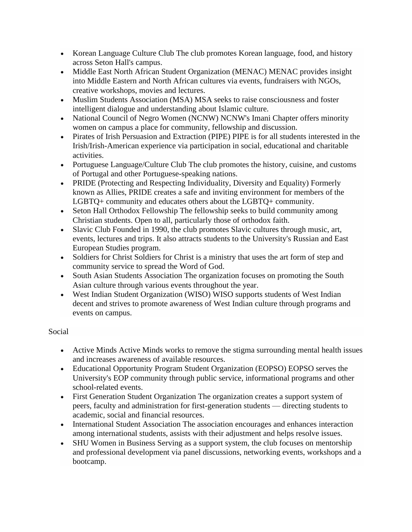- Korean Language Culture Club The club promotes Korean language, food, and history across Seton Hall's campus.
- Middle East North African Student Organization (MENAC) MENAC provides insight into Middle Eastern and North African cultures via events, fundraisers with NGOs, creative workshops, movies and lectures.
- Muslim Students Association (MSA) MSA seeks to raise consciousness and foster intelligent dialogue and understanding about Islamic culture.
- National Council of Negro Women (NCNW) NCNW's Imani Chapter offers minority women on campus a place for community, fellowship and discussion.
- Pirates of Irish Persuasion and Extraction (PIPE) PIPE is for all students interested in the Irish/Irish-American experience via participation in social, educational and charitable activities.
- Portuguese Language/Culture Club The club promotes the history, cuisine, and customs of Portugal and other Portuguese-speaking nations.
- PRIDE (Protecting and Respecting Individuality, Diversity and Equality) Formerly known as Allies, PRIDE creates a safe and inviting environment for members of the LGBTQ+ community and educates others about the LGBTQ+ community.
- Seton Hall Orthodox Fellowship The fellowship seeks to build community among Christian students. Open to all, particularly those of orthodox faith.
- Slavic Club Founded in 1990, the club promotes Slavic cultures through music, art, events, lectures and trips. It also attracts students to the University's Russian and East European Studies program.
- Soldiers for Christ Soldiers for Christ is a ministry that uses the art form of step and community service to spread the Word of God.
- South Asian Students Association The organization focuses on promoting the South Asian culture through various events throughout the year.
- West Indian Student Organization (WISO) WISO supports students of West Indian decent and strives to promote awareness of West Indian culture through programs and events on campus.

# Social

- Active Minds Active Minds works to remove the stigma surrounding mental health issues and increases awareness of available resources.
- Educational Opportunity Program Student Organization (EOPSO) EOPSO serves the University's EOP community through public service, informational programs and other school-related events.
- First Generation Student Organization The organization creates a support system of peers, faculty and administration for first-generation students — directing students to academic, social and financial resources.
- International Student Association The association encourages and enhances interaction among international students, assists with their adjustment and helps resolve issues.
- SHU Women in Business Serving as a support system, the club focuses on mentorship and professional development via panel discussions, networking events, workshops and a bootcamp.